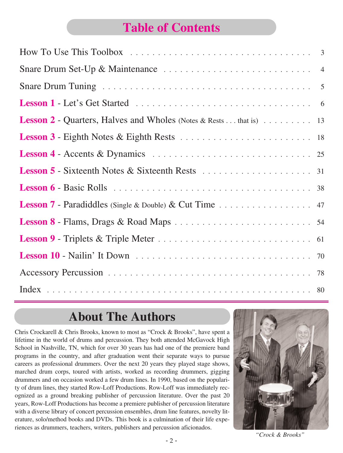## **Table of Contents**

| <b>Lesson 2</b> - Quarters, Halves and Wholes (Notes & Rests that is) 13 |
|--------------------------------------------------------------------------|
|                                                                          |
|                                                                          |
|                                                                          |
|                                                                          |
| <b>Lesson 7</b> - Paradiddles (Single & Double) $\&$ Cut Time 47         |
|                                                                          |
|                                                                          |
|                                                                          |
|                                                                          |
|                                                                          |

## **About The Authors**

Chris Crockarell & Chris Brooks, known to most as "Crock & Brooks", have spent a lifetime in the world of drums and percussion. They both attended McGavock High School in Nashville, TN, which for over 30 years has had one of the premiere band programs in the country, and after graduation went their separate ways to pursue careers as professional drummers. Over the next 20 years they played stage shows, marched drum corps, toured with artists, worked as recording drummers, gigging drummers and on occasion worked a few drum lines. In 1990, based on the popularity of drum lines, they started Row-Loff Productions. Row-Loff was immediately recognized as a ground breaking publisher of percussion literature. Over the past 20 years, Row-Loff Productions has become a premiere publisher of percussion literature with a diverse library of concert percussion ensembles, drum line features, novelty literature, solo/method books and DVDs. This book is a culmination of their life experiences as drummers, teachers, writers, publishers and percussion aficionados.



*"Crock & Brooks"*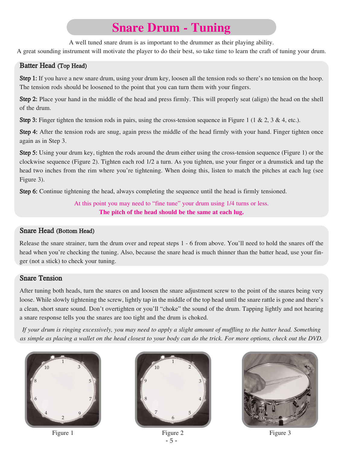## **Snare Drum - Tuning**

A well tuned snare drum is as important to the drummer as their playing ability.

A great sounding instrument will motivate the player to do their best, so take time to learn the craft of tuning your drum.

#### Batter Head (Top Head)

Step 1: If you have a new snare drum, using your drum key, loosen all the tension rods so there's no tension on the hoop. The tension rods should be loosened to the point that you can turn them with your fingers.

Step 2: Place your hand in the middle of the head and press firmly. This will properly seat (align) the head on the shell of the drum.

**Step 3:** Finger tighten the tension rods in pairs, using the cross-tension sequence in Figure 1 (1 & 2, 3 & 4, etc.).

Step 4: After the tension rods are snug, again press the middle of the head firmly with your hand. Finger tighten once again as in Step 3.

Step 5: Using your drum key, tighten the rods around the drum either using the cross-tension sequence (Figure 1) or the clockwise sequence (Figure 2). Tighten each rod 1/2 a turn. As you tighten, use your finger or a drumstick and tap the head two inches from the rim where you're tightening. When doing this, listen to match the pitches at each lug (see Figure 3).

Step 6: Continue tightening the head, always completing the sequence until the head is firmly tensioned.

At this point you may need to "fine tune" your drum using 1/4 turns or less. **The pitch of the head should be the same at each lug.**

#### Snare Head (Bottom Head)

Release the snare strainer, turn the drum over and repeat steps 1 - 6 from above. You'll need to hold the snares off the head when you're checking the tuning. Also, because the snare head is much thinner than the batter head, use your finger (not a stick) to check your tuning.

#### Snare Tension

After tuning both heads, turn the snares on and loosen the snare adjustment screw to the point of the snares being very loose. While slowly tightening the screw, lightly tap in the middle of the top head until the snare rattle is gone and there's a clean, short snare sound. Don't overtighten or you'll "choke" the sound of the drum. Tapping lightly and not hearing a snare response tells you the snares are too tight and the drum is choked.

*If your drum is ringing excessively, you may need to apply a slight amount of muffling to the batter head. Something as simple as placing a wallet on the head closest to your body can do the trick. For more options, check out the DVD.*





- 5 - Figure 1 Figure 2 Figure 2 Figure 3



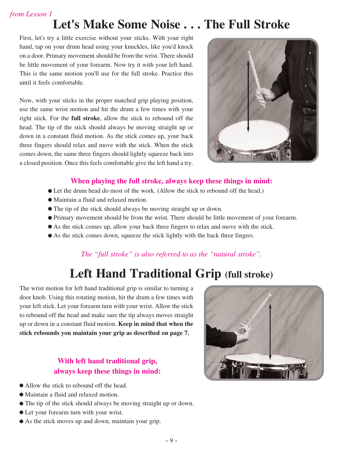# **Let's Make Some Noise . . . The Full Stroke**

First, let's try a little exercise without your sticks. With your right hand, tap on your drum head using your knuckles, like you'd knock on a door. Primary movement should be from the wrist. There should be little movement of your forearm. Now try it with your left hand. This is the same motion you'll use for the full stroke. Practice this until it feels comfortable.

Now, with your sticks in the proper matched grip playing position, use the same wrist motion and hit the drum a few times with your right stick. For the **full stroke**, allow the stick to rebound off the head. The tip of the stick should always be moving straight up or down in a constant fluid motion. As the stick comes up, your back three fingers should relax and move with the stick. When the stick comes down, the same three fingers should lightly squeeze back into a closed position. Once this feels comfortable give the left hand a try.



#### **When playing the full stroke, always keep these things in mind:**

- Let the drum head do most of the work. (Allow the stick to rebound off the head.)
- Maintain a fluid and relaxed motion.
- The tip of the stick should always be moving straight up or down.
- Primary movement should be from the wrist. There should be little movement of your forearm.
- As the stick comes up, allow your back three fingers to relax and move with the stick.
- As the stick comes down, squeeze the stick lightly with the back three fingers.

#### *The "full stroke" is also referred to as the "natural stroke".*

## **Left Hand Traditional Grip (full stroke)**

The wrist motion for left hand traditional grip is similar to turning a door knob. Using this rotating motion, hit the drum a few times with your left stick. Let your forearm turn with your wrist. Allow the stick to rebound off the head and make sure the tip always moves straight up or down in a constant fluid motion. **Keep in mind that when the stick rebounds you maintain your grip as described on page 7.**

#### **With left hand traditional grip, always keep these things in mind:**

- Allow the stick to rebound off the head.
- Maintain a fluid and relaxed motion.
- The tip of the stick should always be moving straight up or down.
- Let your forearm turn with your wrist.
- As the stick moves up and down, maintain your grip.

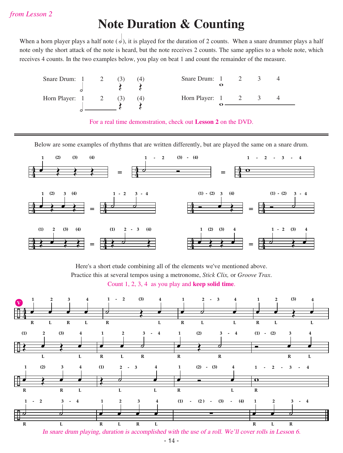### **Note Duration & Counting**

When a horn player plays a half note  $(d)$ , it is played for the duration of 2 counts. When a snare drummer plays a half note only the short attack of the note is heard, but the note receives 2 counts. The same applies to a whole note, which receives 4 counts. In the two examples below, you play on beat 1 and count the remainder of the measure.

| Snare Drum: 1 2  |  | (4) | Snare Drum: 1 2            |  |  |
|------------------|--|-----|----------------------------|--|--|
|                  |  |     |                            |  |  |
| Horn Player: 1 2 |  |     | Horn Player: $1 \t 2 \t 3$ |  |  |
|                  |  |     |                            |  |  |
|                  |  |     |                            |  |  |

For a real time demonstration, check out **Lesson 2** on the DVD.

Below are some examples of rhythms that are written differently, but are played the same on a snare drum.



Here's a short etude combining all of the elements we've mentioned above. Practice this at several tempos using a metronome, *Stick Clix,* or *Groove Trax*. Count 1, 2, 3, 4 as you play and **keep solid time**.

![](_page_3_Figure_8.jpeg)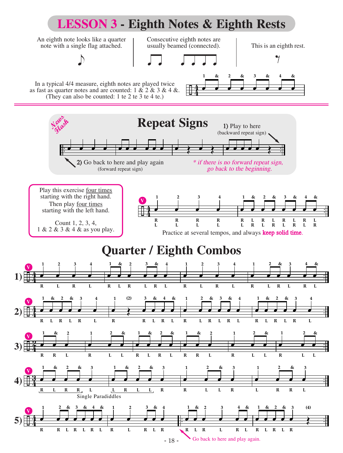![](_page_4_Figure_0.jpeg)

- 18 -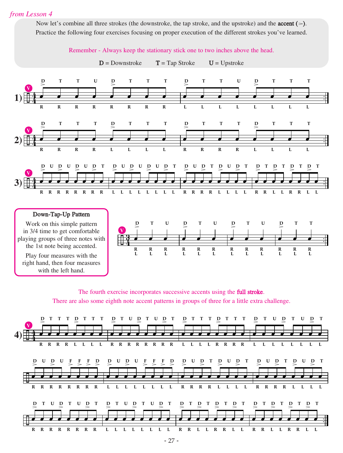Now let's combine all three strokes (the downstroke, the tap stroke, and the upstroke) and the **accent** ( $>$ ). Practice the following four exercises focusing on proper execution of the different strokes you've learned.

![](_page_5_Figure_2.jpeg)

The fourth exercise incorporates successive accents using the full stroke. There are also some eighth note accent patterns in groups of three for a little extra challenge.

![](_page_5_Figure_4.jpeg)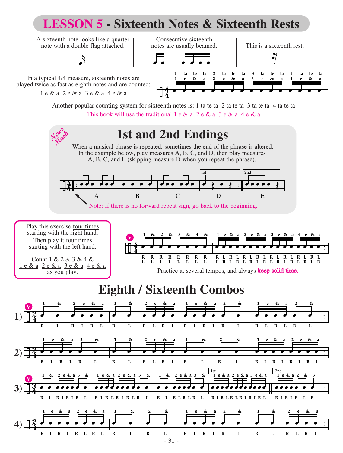![](_page_6_Figure_0.jpeg)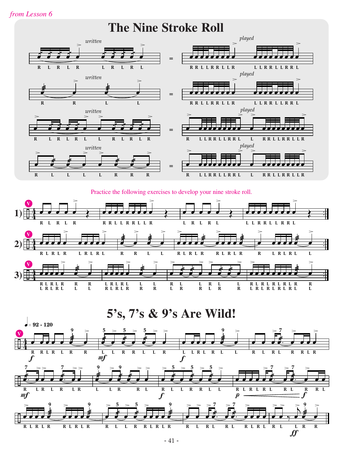**The Nine Stroke Roll**

![](_page_7_Figure_2.jpeg)

Practice the following exercises to develop your nine stroke roll.

![](_page_7_Figure_4.jpeg)

**5's, 7's & 9's Are Wild!**

![](_page_7_Figure_6.jpeg)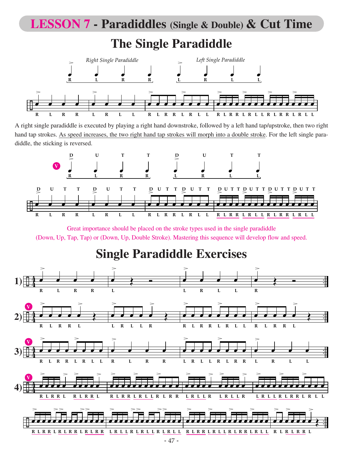## **LESSON 7 - Paradiddles (Single & Double) & Cut Time**

### **The Single Paradiddle**

![](_page_8_Figure_2.jpeg)

A right single paradiddle is executed by playing a right hand downstroke, followed by a left hand tap/upstroke, then two right hand tap strokes. As speed increases, the two right hand tap strokes will morph into a double stroke. For the left single paradiddle, the sticking is reversed.

![](_page_8_Figure_4.jpeg)

Great importance should be placed on the stroke types used in the single paradiddle (Down, Up, Tap, Tap) or (Down, Up, Double Stroke). Mastering this sequence will develop flow and speed.

## **Single Paradiddle Exercises**

![](_page_8_Figure_7.jpeg)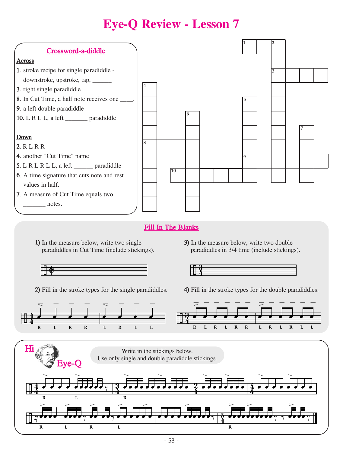# **Eye-Q Review - Lesson 7**

![](_page_9_Figure_1.jpeg)

#### Fill In The Blanks

1) In the measure below, write two single 3) In the measure below, write two double

![](_page_9_Figure_4.jpeg)

![](_page_9_Figure_6.jpeg)

paradiddles in Cut Time (include stickings). paradiddles in 3/4 time (include stickings).

![](_page_9_Figure_8.jpeg)

2) Fill in the stroke types for the single paradiddles. 4) Fill in the stroke types for the double paradiddles.

![](_page_9_Figure_10.jpeg)

![](_page_9_Figure_11.jpeg)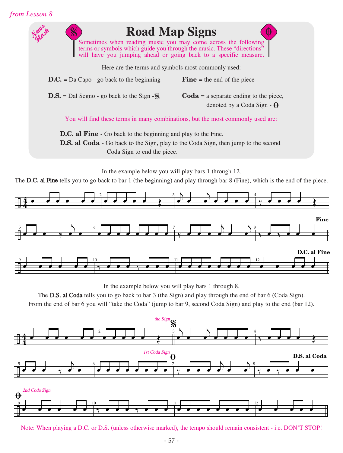![](_page_10_Figure_1.jpeg)

![](_page_10_Figure_2.jpeg)

![](_page_10_Figure_3.jpeg)

In the example below you will play bars 1 through 8.

The D.S. al Coda tells you to go back to bar 3 (the Sign) and play through the end of bar 6 (Coda Sign).

From the end of bar 6 you will "take the Coda" (jump to bar 9, second Coda Sign) and play to the end (bar 12).

![](_page_10_Figure_7.jpeg)

Note: When playing a D.C. or D.S. (unless otherwise marked), the tempo should remain consistent - i.e. DON'T STOP!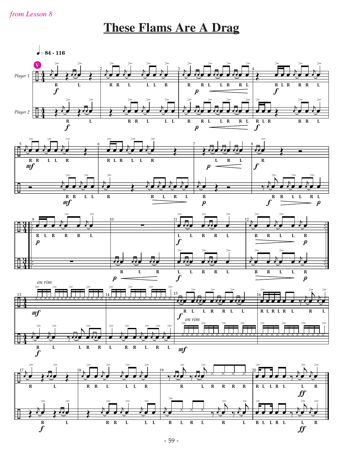### **These Flams Are A Drag**

![](_page_11_Figure_2.jpeg)

![](_page_11_Figure_3.jpeg)

![](_page_11_Figure_4.jpeg)

![](_page_11_Figure_5.jpeg)

![](_page_11_Figure_6.jpeg)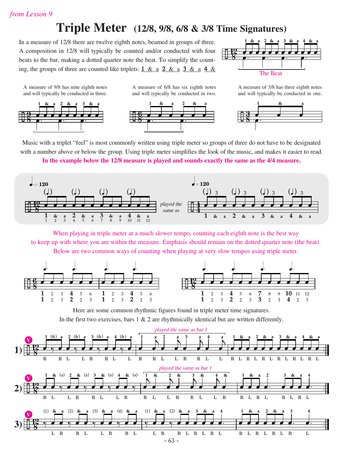### **Triple Meter (12/8, 9/8, 6/8 & 3/8 Time Signatures)**

In a measure of 12/8 there are twelve eighth notes, beamed in groups of three. A composition in 12/8 will typically be counted and/or conducted with four beats to the bar, making a dotted quarter note the beat. To simplify the counting, the groups of three are counted like triplets:  $1 \& a \quad 2 \& a \quad 3 \& a \quad 4 \& a$ 

![](_page_12_Figure_3.jpeg)

A measure of 9/8 has nine eighth notes and will typically be conducted in three.

![](_page_12_Figure_5.jpeg)

and will typically be conducted in two.  $\pm$  8  $\frac{8}{6}$ **1** œ **&** œ **a** e<br>f **2** œ **&** œ **a** <mark>e. ∻ e. ⇒</mark>. ∃ <del>⊔8</del><br>│

A measure of 6/8 has six eighth notes

A measure of 3/8 has three eighth notes and will typically be conducted in one.

![](_page_12_Figure_8.jpeg)

Music with a triplet "feel" is most commonly written using triple meter so groups of three do not have to be designated with a number above or below the group. Using triple meter simplifies the look of the music, and makes it easier to read.

**In the example below the 12/8 measure is played and sounds exactly the same as the 4/4 measure.**

![](_page_12_Figure_11.jpeg)

When playing in triple meter at a much slower tempo, counting each eighth note is the best way to keep up with where you are within the measure. Emphasis should remain on the dotted quarter note (the beat). Below are two common ways of counting when playing at very slow tempos using triple meter.

![](_page_12_Figure_13.jpeg)

Here are some common rhythmic figures found in triple meter time signatures. In the first two exercises, bars  $1 \& 2$  are rhythmically identical but are written differently.

![](_page_12_Figure_15.jpeg)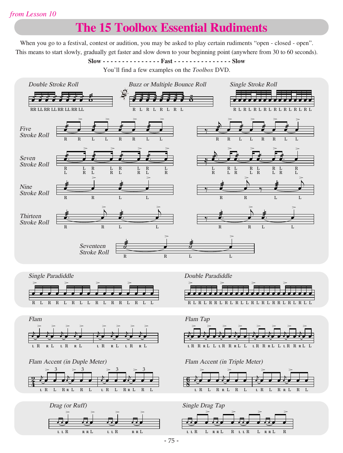## **The 15 Toolbox Essential Rudiments**

When you go to a festival, contest or audition, you may be asked to play certain rudiments "open - closed - open". This means to start slowly, gradually get faster and slow down to your beginning point (anywhere from 30 to 60 seconds).

**Slow - - - - - - - - - - - - - - - Fast - - - - - - - - - - - - - - - Slow**

You'll find a few examples on the *Toolbox* DVD.

![](_page_13_Figure_5.jpeg)